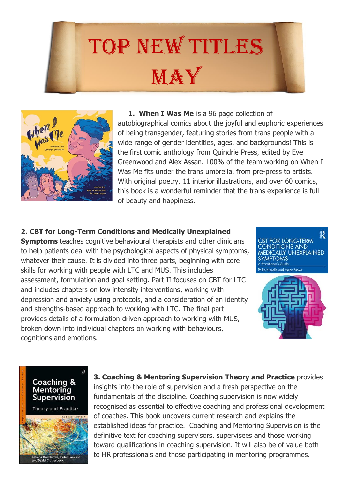



**1. When I Was Me** is a 96 page collection of autobiographical comics about the joyful and euphoric experiences of being transgender, featuring stories from trans people with a wide range of gender identities, ages, and backgrounds! This is the first comic anthology from Quindrie Press, edited by Eve Greenwood and Alex Assan. 100% of the team working on When I Was Me fits under the trans umbrella, from pre-press to artists. With original poetry, 11 interior illustrations, and over 60 comics, this book is a wonderful reminder that the trans experience is full of beauty and happiness.

## **2. CBT for Long-Term Conditions and Medically Unexplained**

**Symptoms** teaches cognitive behavioural therapists and other clinicians to help patients deal with the psychological aspects of physical symptoms, whatever their cause. It is divided into three parts, beginning with core skills for working with people with LTC and MUS. This includes assessment, formulation and goal setting. Part II focuses on CBT for LTC and includes chapters on low intensity interventions, working with depression and anxiety using protocols, and a consideration of an identity and strengths-based approach to working with LTC. The final part provides details of a formulation driven approach to working with MUS, broken down into individual chapters on working with behaviours, cognitions and emotions.

R **BT FOR LONG-TERM VDITIONS AND DICALLY UNEXPLAINED SYMPTOMS** 





**3. Coaching & Mentoring Supervision Theory and Practice** provides insights into the role of supervision and a fresh perspective on the fundamentals of the discipline. Coaching supervision is now widely recognised as essential to effective coaching and professional development of coaches. This book uncovers current research and explains the established ideas for practice. Coaching and Mentoring Supervision is the definitive text for coaching supervisors, supervisees and those working toward qualifications in coaching supervision. It will also be of value both to HR professionals and those participating in mentoring programmes.